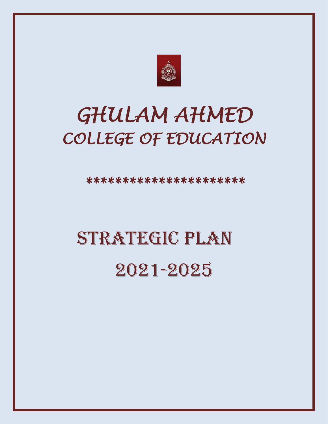

## *GHULAM AHMED COLLEGE OF EDUCATION*

*\*\*\*\*\*\*\*\*\*\*\*\*\*\*\*\*\*\*\*\*\*\** 

# STRATEGIC PLAN 2021-2025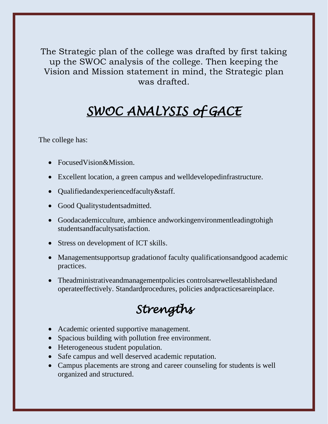The Strategic plan of the college was drafted by first taking up the SWOC analysis of the college. Then keeping the Vision and Mission statement in mind, the Strategic plan was drafted.

## *SWOC ANALYSIS of GACE*

The college has:

- FocusedVision&Mission.
- Excellent location, a green campus and welldevelopedinfrastructure.
- Qualifiedandexperiencedfaculty&staff.
- Good Qualitystudentsadmitted.
- Goodacademicculture, ambience andworkingenvironmentleadingtohigh studentsandfacultysatisfaction.
- Stress on development of ICT skills.
- Managementsupportsup gradationof faculty qualificationsandgood academic practices.
- Theadministrativeandmanagementpolicies controlsarewellestablishedand operateeffectively. Standardprocedures, policies andpracticesareinplace.

## *Strengths*

- Academic oriented supportive management.
- Spacious building with pollution free environment.
- Heterogeneous student population.
- Safe campus and well deserved academic reputation.
- Campus placements are strong and career counseling for students is well organized and structured.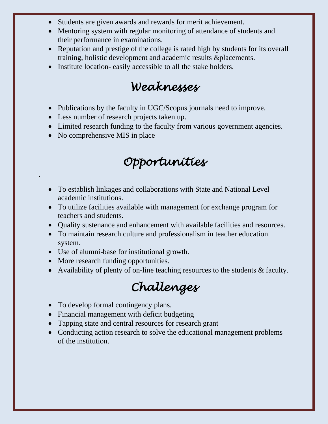- Students are given awards and rewards for merit achievement.
- Mentoring system with regular monitoring of attendance of students and their performance in examinations.
- Reputation and prestige of the college is rated high by students for its overall training, holistic development and academic results &placements.
- Institute location- easily accessible to all the stake holders.

## *Weaknesses*

- Publications by the faculty in UGC/Scopus journals need to improve.
- Less number of research projects taken up.
- Limited research funding to the faculty from various government agencies.
- No comprehensive MIS in place

.

### *Opportunities*

- To establish linkages and collaborations with State and National Level academic institutions.
- To utilize facilities available with management for exchange program for teachers and students.
- Quality sustenance and enhancement with available facilities and resources.
- To maintain research culture and professionalism in teacher education system.
- Use of alumni-base for institutional growth.
- More research funding opportunities.
- Availability of plenty of on-line teaching resources to the students & faculty.

## *Challenges*

- To develop formal contingency plans.
- Financial management with deficit budgeting
- Tapping state and central resources for research grant
- Conducting action research to solve the educational management problems of the institution.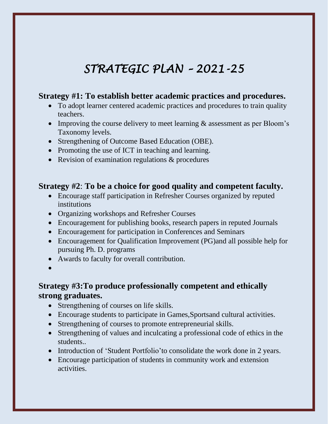## *STRATEGIC PLAN – 2021-25*

#### **Strategy #1: To establish better academic practices and procedures.**

- To adopt learner centered academic practices and procedures to train quality teachers.
- Improving the course delivery to meet learning  $\&$  assessment as per Bloom's Taxonomy levels.
- Strengthening of Outcome Based Education (OBE).
- Promoting the use of ICT in teaching and learning.
- Revision of examination regulations & procedures

#### **Strategy #2**: **To be a choice for good quality and competent faculty.**

- Encourage staff participation in Refresher Courses organized by reputed institutions
- Organizing workshops and Refresher Courses
- Encouragement for publishing books, research papers in reputed Journals
- Encouragement for participation in Conferences and Seminars
- Encouragement for Qualification Improvement (PG) and all possible help for pursuing Ph. D. programs
- Awards to faculty for overall contribution.
- •

#### **Strategy #3:To produce professionally competent and ethically strong graduates.**

- Strengthening of courses on life skills.
- Encourage students to participate in Games, Sportsand cultural activities.
- Strengthening of courses to promote entrepreneurial skills.
- Strengthening of values and inculcating a professional code of ethics in the students..
- Introduction of 'Student Portfolio'to consolidate the work done in 2 years.
- Encourage participation of students in community work and extension activities.